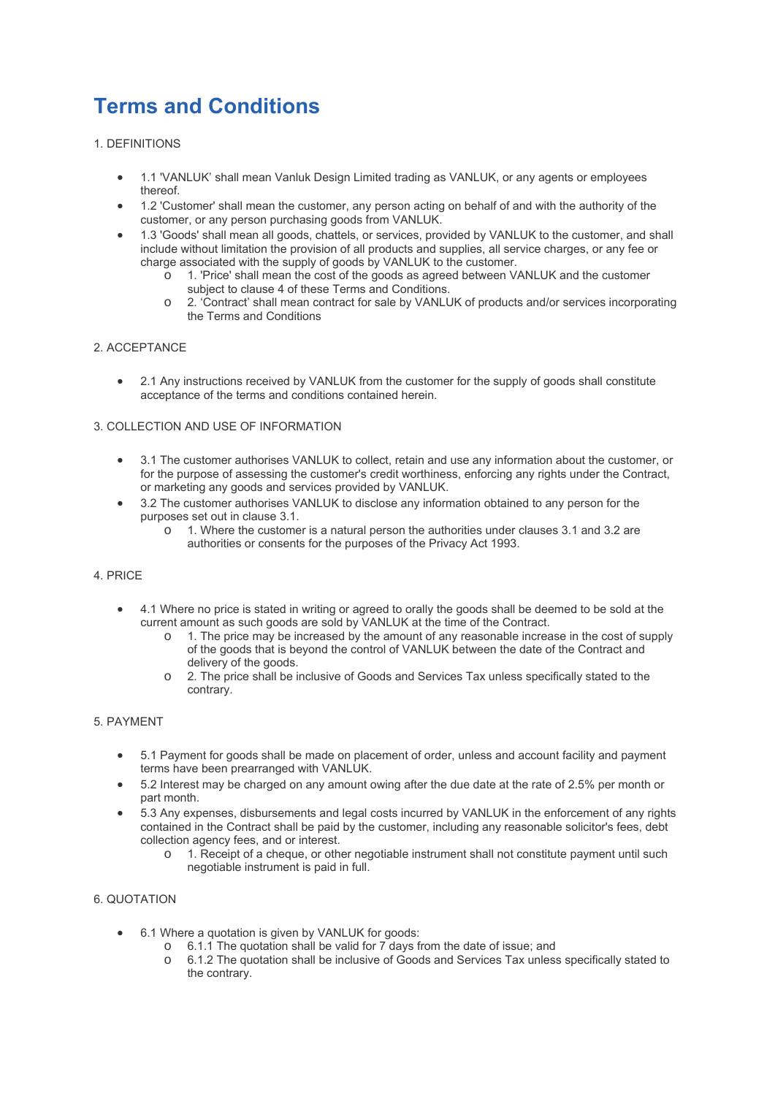# **Terms and Conditions**

- 1. DEFINITIONS
	- 1.1 'VANLUK' shall mean Vanluk Design Limited trading as VANLUK, or any agents or employees thereof.
	- 1.2 'Customer' shall mean the customer, any person acting on behalf of and with the authority of the customer, or any person purchasing goods from VANLUK.
	- 1.3 'Goods' shall mean all goods, chattels, or services, provided by VANLUK to the customer, and shall include without limitation the provision of all products and supplies, all service charges, or any fee or charge associated with the supply of goods by VANLUK to the customer.
		- o 1. 'Price' shall mean the cost of the goods as agreed between VANLUK and the customer subject to clause 4 of these Terms and Conditions.
		- 2. 'Contract' shall mean contract for sale by VANLUK of products and/or services incorporating the Terms and Conditions

# 2. ACCEPTANCE

• 2.1 Any instructions received by VANLUK from the customer for the supply of goods shall constitute acceptance of the terms and conditions contained herein.

## 3. COLLECTION AND USE OF INFORMATION

- 3.1 The customer authorises VANLUK to collect, retain and use any information about the customer, or for the purpose of assessing the customer's credit worthiness, enforcing any rights under the Contract, or marketing any goods and services provided by VANLUK.
- 3.2 The customer authorises VANLUK to disclose any information obtained to any person for the purposes set out in clause 3.1.
	- o 1. Where the customer is a natural person the authorities under clauses 3.1 and 3.2 are authorities or consents for the purposes of the Privacy Act 1993.

#### 4. PRICE

- 4.1 Where no price is stated in writing or agreed to orally the goods shall be deemed to be sold at the current amount as such goods are sold by VANLUK at the time of the Contract.
	- $\circ$  1. The price may be increased by the amount of any reasonable increase in the cost of supply of the goods that is beyond the control of VANLUK between the date of the Contract and delivery of the goods.
	- o 2. The price shall be inclusive of Goods and Services Tax unless specifically stated to the contrary.

## 5. PAYMENT

- 5.1 Payment for goods shall be made on placement of order, unless and account facility and payment terms have been prearranged with VANLUK.
- 5.2 Interest may be charged on any amount owing after the due date at the rate of 2.5% per month or part month.
- 5.3 Any expenses, disbursements and legal costs incurred by VANLUK in the enforcement of any rights contained in the Contract shall be paid by the customer, including any reasonable solicitor's fees, debt collection agency fees, and or interest.
	- o 1. Receipt of a cheque, or other negotiable instrument shall not constitute payment until such negotiable instrument is paid in full.

# 6. QUOTATION

- 6.1 Where a quotation is given by VANLUK for goods:
	- o 6.1.1 The quotation shall be valid for 7 days from the date of issue; and
	- o 6.1.2 The quotation shall be inclusive of Goods and Services Tax unless specifically stated to the contrary.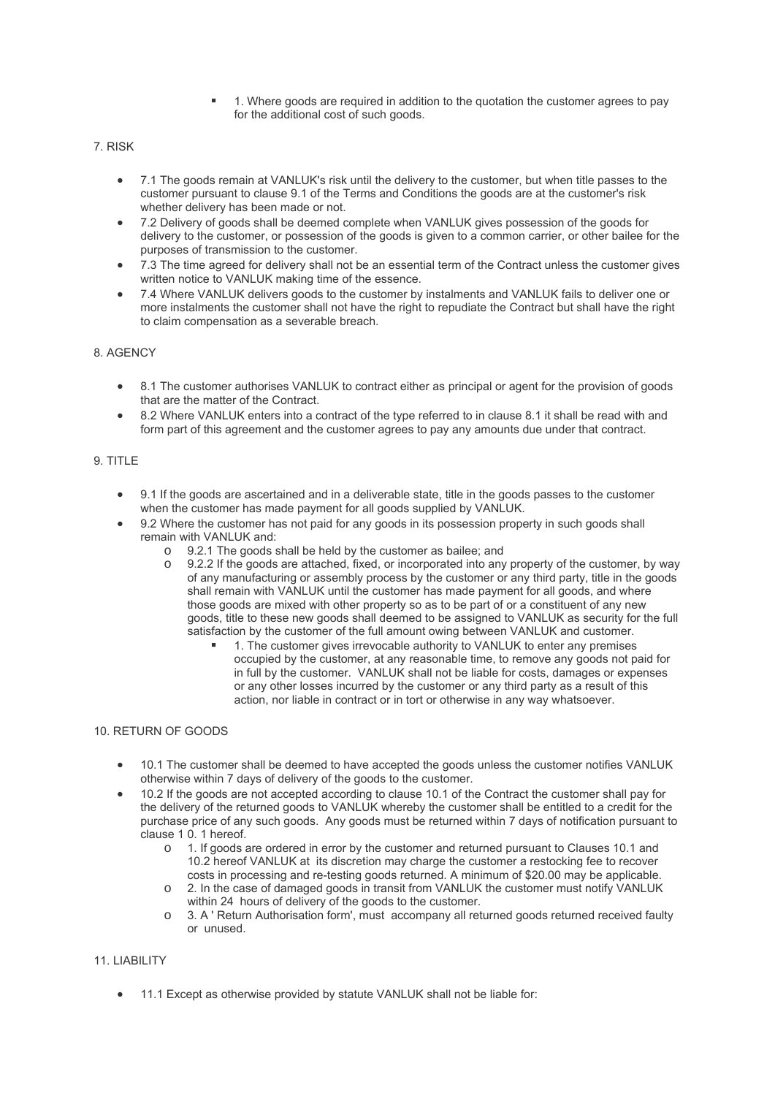- 1. Where goods are required in addition to the quotation the customer agrees to pay for the additional cost of such goods.
- 7. RISK
	- 7.1 The goods remain at VANLUK's risk until the delivery to the customer, but when title passes to the customer pursuant to clause 9.1 of the Terms and Conditions the goods are at the customer's risk whether delivery has been made or not.
	- 7.2 Delivery of goods shall be deemed complete when VANLUK gives possession of the goods for delivery to the customer, or possession of the goods is given to a common carrier, or other bailee for the purposes of transmission to the customer.
	- 7.3 The time agreed for delivery shall not be an essential term of the Contract unless the customer gives written notice to VANLUK making time of the essence.
	- 7.4 Where VANLUK delivers goods to the customer by instalments and VANLUK fails to deliver one or more instalments the customer shall not have the right to repudiate the Contract but shall have the right to claim compensation as a severable breach.

# 8. AGENCY

- 8.1 The customer authorises VANLUK to contract either as principal or agent for the provision of goods that are the matter of the Contract.
- 8.2 Where VANLUK enters into a contract of the type referred to in clause 8.1 it shall be read with and form part of this agreement and the customer agrees to pay any amounts due under that contract.

#### 9. TITLE

- 9.1 If the goods are ascertained and in a deliverable state, title in the goods passes to the customer when the customer has made payment for all goods supplied by VANLUK.
- 9.2 Where the customer has not paid for any goods in its possession property in such goods shall remain with VANLUK and:
	- o 9.2.1 The goods shall be held by the customer as bailee; and  $\sim$  9.2.2 If the goods are attached fixed, or incorporated into any
	- 9.2.2 If the goods are attached, fixed, or incorporated into any property of the customer, by way of any manufacturing or assembly process by the customer or any third party, title in the goods shall remain with VANLUK until the customer has made payment for all goods, and where those goods are mixed with other property so as to be part of or a constituent of any new goods, title to these new goods shall deemed to be assigned to VANLUK as security for the full satisfaction by the customer of the full amount owing between VANLUK and customer.
		- 1. The customer gives irrevocable authority to VANLUK to enter any premises occupied by the customer, at any reasonable time, to remove any goods not paid for in full by the customer. VANLUK shall not be liable for costs, damages or expenses or any other losses incurred by the customer or any third party as a result of this action, nor liable in contract or in tort or otherwise in any way whatsoever.

## 10. RETURN OF GOODS

- 10.1 The customer shall be deemed to have accepted the goods unless the customer notifies VANLUK otherwise within 7 days of delivery of the goods to the customer.
- 10.2 If the goods are not accepted according to clause 10.1 of the Contract the customer shall pay for the delivery of the returned goods to VANLUK whereby the customer shall be entitled to a credit for the purchase price of any such goods. Any goods must be returned within 7 days of notification pursuant to clause 1 0. 1 hereof.
	- o 1. If goods are ordered in error by the customer and returned pursuant to Clauses 10.1 and 10.2 hereof VANLUK at its discretion may charge the customer a restocking fee to recover costs in processing and re-testing goods returned. A minimum of \$20.00 may be applicable.
	- o 2. In the case of damaged goods in transit from VANLUK the customer must notify VANLUK within 24 hours of delivery of the goods to the customer.
	- o 3. A ' Return Authorisation form', must accompany all returned goods returned received faulty or unused.

## 11. LIABILITY

• 11.1 Except as otherwise provided by statute VANLUK shall not be liable for: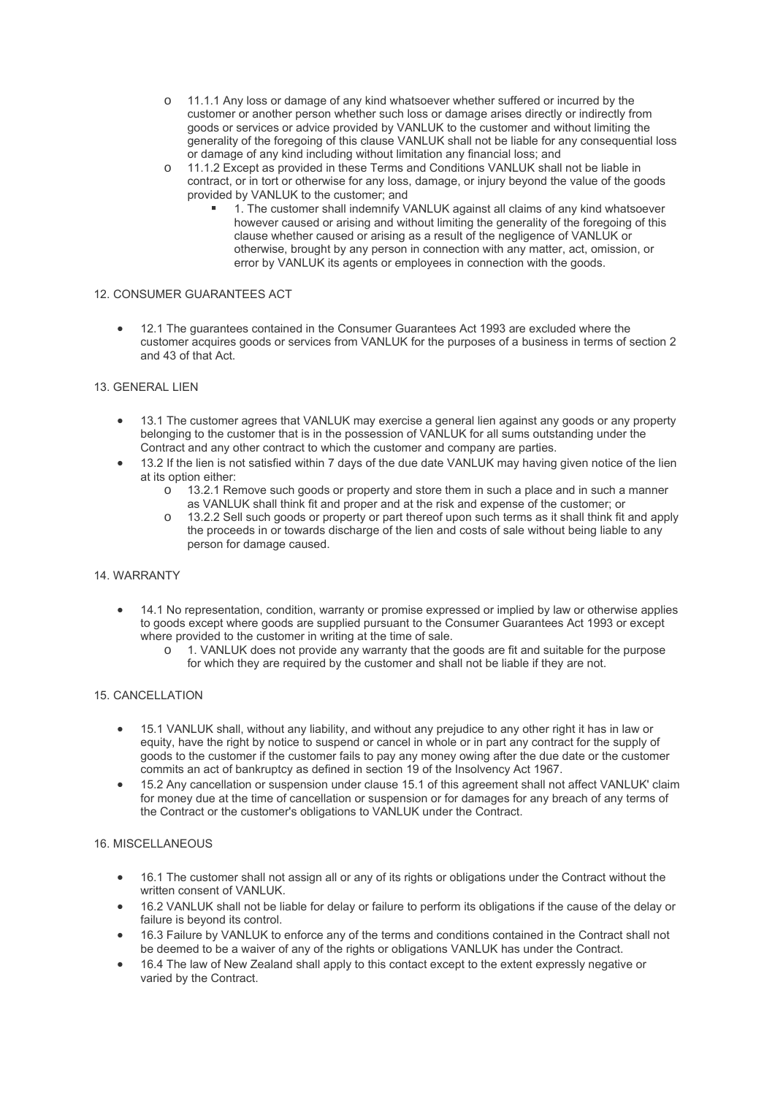- o 11.1.1 Any loss or damage of any kind whatsoever whether suffered or incurred by the customer or another person whether such loss or damage arises directly or indirectly from goods or services or advice provided by VANLUK to the customer and without limiting the generality of the foregoing of this clause VANLUK shall not be liable for any consequential loss or damage of any kind including without limitation any financial loss; and
- 11.1.2 Except as provided in these Terms and Conditions VANLUK shall not be liable in contract, or in tort or otherwise for any loss, damage, or injury beyond the value of the goods provided by VANLUK to the customer; and
	- 1. The customer shall indemnify VANLUK against all claims of any kind whatsoever however caused or arising and without limiting the generality of the foregoing of this clause whether caused or arising as a result of the negligence of VANLUK or otherwise, brought by any person in connection with any matter, act, omission, or error by VANLUK its agents or employees in connection with the goods.

## 12. CONSUMER GUARANTEES ACT

 12.1 The guarantees contained in the Consumer Guarantees Act 1993 are excluded where the customer acquires goods or services from VANLUK for the purposes of a business in terms of section 2 and 43 of that Act.

#### 13. GENERAL LIEN

- 13.1 The customer agrees that VANLUK may exercise a general lien against any goods or any property belonging to the customer that is in the possession of VANLUK for all sums outstanding under the Contract and any other contract to which the customer and company are parties.
- 13.2 If the lien is not satisfied within 7 days of the due date VANLUK may having given notice of the lien at its option either:
	- $\circ$  13.2.1 Remove such goods or property and store them in such a place and in such a manner as VANLUK shall think fit and proper and at the risk and expense of the customer; or
	- o 13.2.2 Sell such goods or property or part thereof upon such terms as it shall think fit and apply the proceeds in or towards discharge of the lien and costs of sale without being liable to any person for damage caused.

#### 14. WARRANTY

- 14.1 No representation, condition, warranty or promise expressed or implied by law or otherwise applies to goods except where goods are supplied pursuant to the Consumer Guarantees Act 1993 or except where provided to the customer in writing at the time of sale.
	- 1. VANLUK does not provide any warranty that the goods are fit and suitable for the purpose for which they are required by the customer and shall not be liable if they are not.

#### 15. CANCELLATION

- 15.1 VANLUK shall, without any liability, and without any prejudice to any other right it has in law or equity, have the right by notice to suspend or cancel in whole or in part any contract for the supply of goods to the customer if the customer fails to pay any money owing after the due date or the customer commits an act of bankruptcy as defined in section 19 of the Insolvency Act 1967.
- 15.2 Any cancellation or suspension under clause 15.1 of this agreement shall not affect VANLUK' claim for money due at the time of cancellation or suspension or for damages for any breach of any terms of the Contract or the customer's obligations to VANLUK under the Contract.

#### 16. MISCELLANEOUS

- 16.1 The customer shall not assign all or any of its rights or obligations under the Contract without the written consent of VANLUK.
- 16.2 VANLUK shall not be liable for delay or failure to perform its obligations if the cause of the delay or failure is beyond its control.
- 16.3 Failure by VANLUK to enforce any of the terms and conditions contained in the Contract shall not be deemed to be a waiver of any of the rights or obligations VANLUK has under the Contract.
- 16.4 The law of New Zealand shall apply to this contact except to the extent expressly negative or varied by the Contract.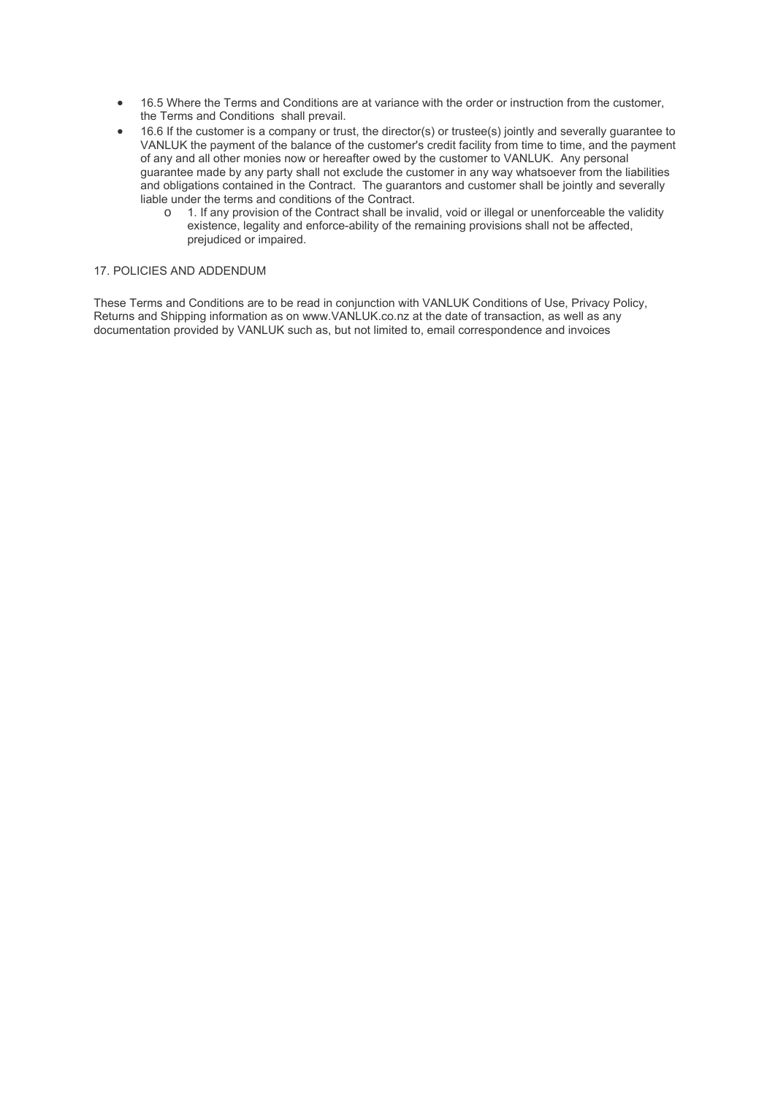- 16.5 Where the Terms and Conditions are at variance with the order or instruction from the customer, the Terms and Conditions shall prevail.
- 16.6 If the customer is a company or trust, the director(s) or trustee(s) jointly and severally guarantee to VANLUK the payment of the balance of the customer's credit facility from time to time, and the payment of any and all other monies now or hereafter owed by the customer to VANLUK. Any personal guarantee made by any party shall not exclude the customer in any way whatsoever from the liabilities and obligations contained in the Contract. The guarantors and customer shall be jointly and severally liable under the terms and conditions of the Contract.
	- o 1. If any provision of the Contract shall be invalid, void or illegal or unenforceable the validity existence, legality and enforce-ability of the remaining provisions shall not be affected, prejudiced or impaired.

#### 17. POLICIES AND ADDENDUM

These Terms and Conditions are to be read in conjunction with VANLUK Conditions of Use, Privacy Policy, Returns and Shipping information as on www.VANLUK.co.nz at the date of transaction, as well as any documentation provided by VANLUK such as, but not limited to, email correspondence and invoices